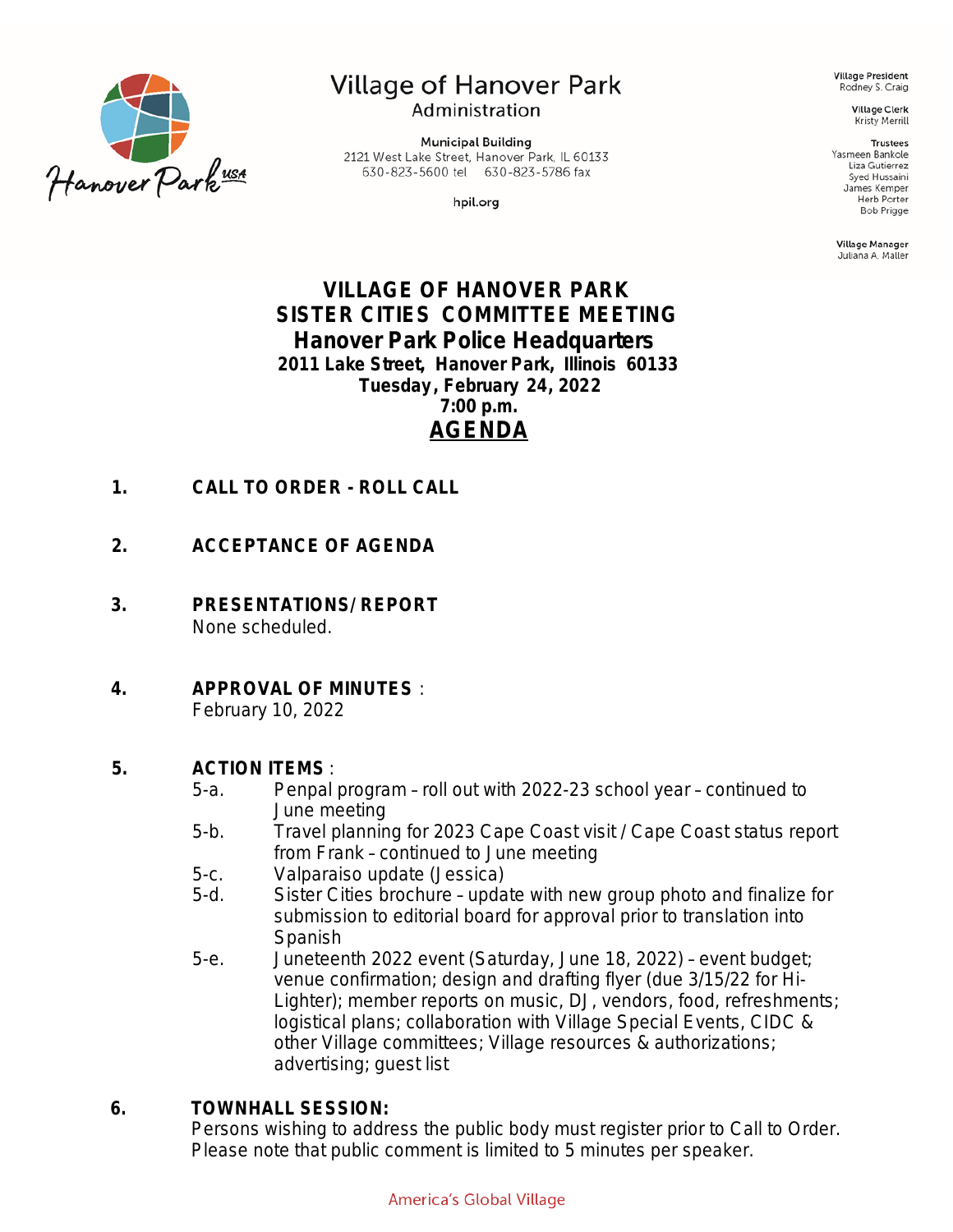

## Village of Hanover Park Administration

**Municipal Building** 2121 West Lake Street, Hanover Park, IL 60133 630-823-5600 tel 630-823-5786 fax

hpil.org

**Village President** Rodney S. Craig

> **Village Clerk** Kristy Merrill

#### **Trustees**

Yasmeen Bankole Liza Gutierrez Syed Hussaini James Kemper Herb Porter **Bob Prigge** 

Village Manager Juliana A. Maller

## **VILLAGE OF HANOVER PARK SISTER CITIES COMMITTEE MEETING Hanover Park Police Headquarters 2011 Lake Street, Hanover Park, Illinois 60133 Tuesday , February 24, 2022 7:00 p.m. AGENDA**

- **1. CALL TO ORDER ROLL CALL**
- **2. ACCEPTANCE OF AGENDA**
- **3. PRESENTATIONS/ REPORT** None scheduled.
- **4. APPROVAL OF MINUTES** : February 10, 2022

#### **5. ACTION ITEMS** :

- 5-a. Penpal program roll out with 2022-23 school year continued to June meeting
- 5-b. Travel planning for 2023 Cape Coast visit / Cape Coast status report from Frank – continued to June meeting
- 5-c. Valparaiso update (Jessica)
- 5-d. Sister Cities brochure update with new group photo and finalize for submission to editorial board for approval prior to translation into Spanish
- 5-e. Juneteenth 2022 event (Saturday, June 18, 2022) event budget; venue confirmation; design and drafting flyer (due 3/15/22 for Hi-Lighter); member reports on music, DJ, vendors, food, refreshments; logistical plans; collaboration with Village Special Events, CIDC & other Village committees; Village resources & authorizations; advertising; guest list

#### **6. TOWNHALL SESSION:**

Persons wishing to address the public body must register prior to Call to Order. Please note that public comment is limited to 5 minutes per speaker.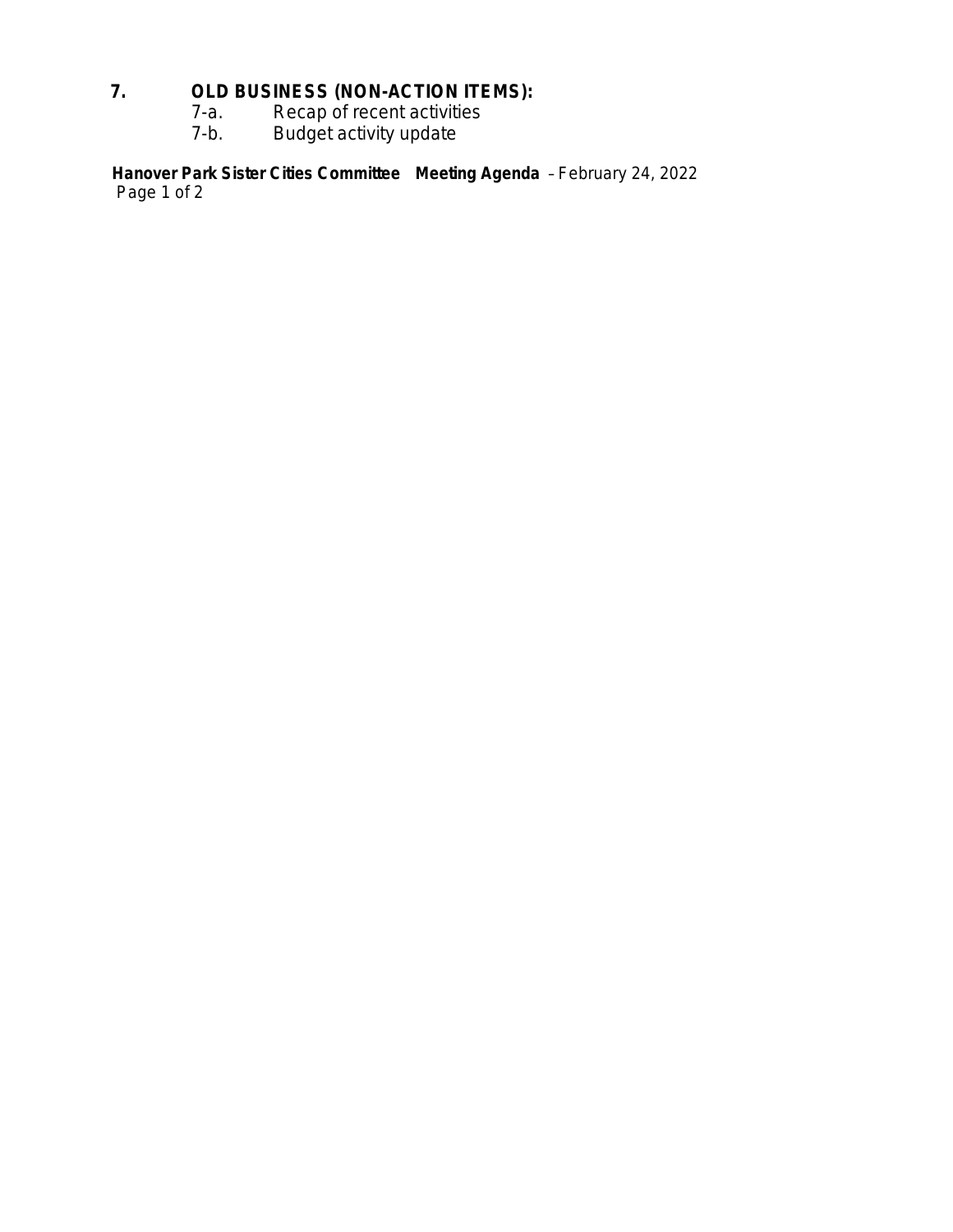### **7. OLD BUSINESS (NON-ACTION ITEMS):**

- 7-a. Recap of recent activities
- 7-b. Budget activity update

**Hanover Park Sister Cities Committee Meeting Agenda** – *February 24, 2022*  Page 1 of 2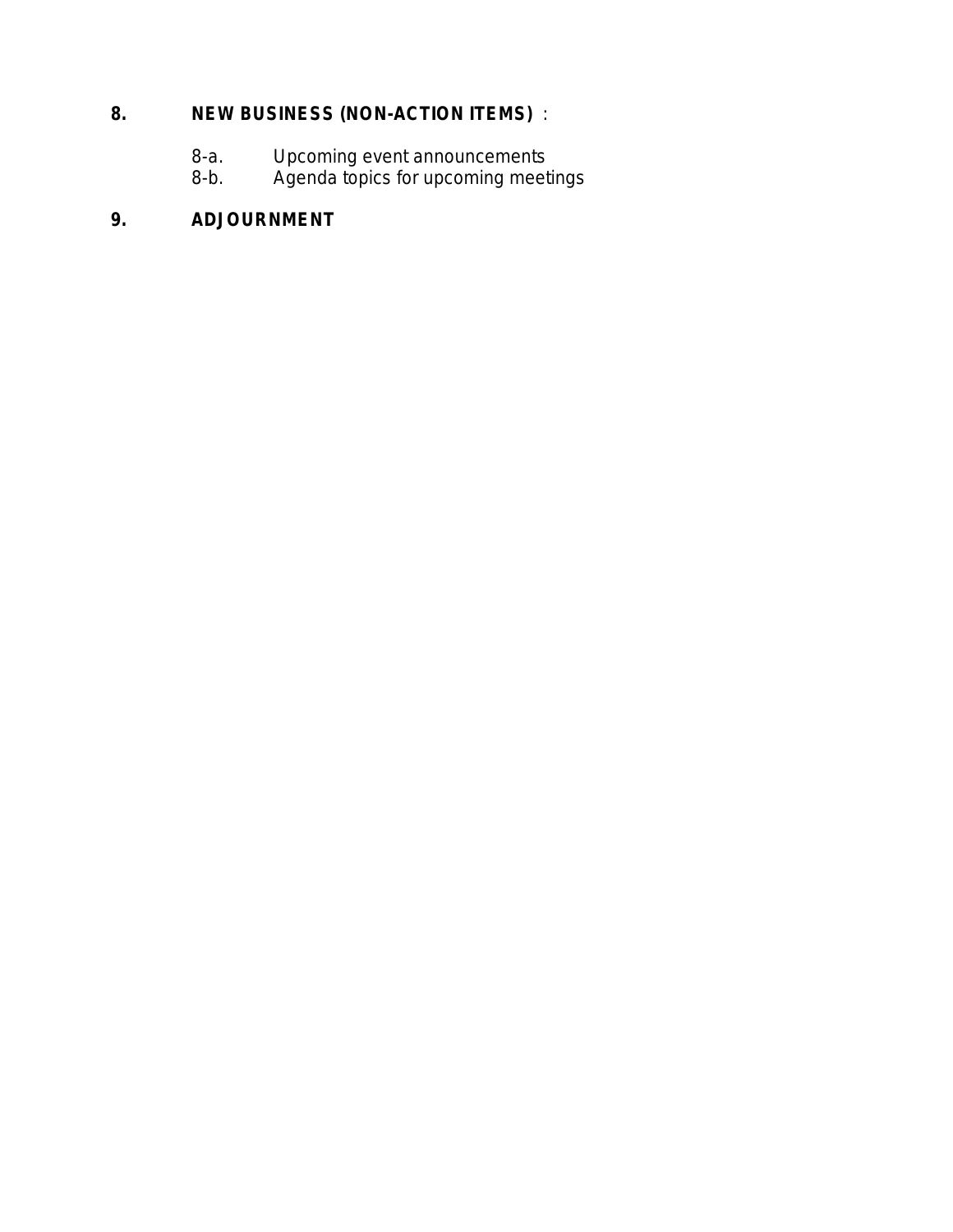# **8. NEW BUSINESS (NON-ACTION ITEMS)** :

- 8-a. Upcoming event announcements
- 8-b. Agenda topics for upcoming meetings

# **9. ADJOURNMENT**